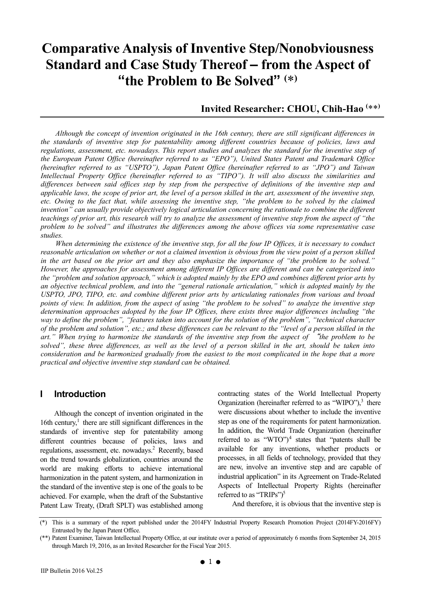# **Comparative Analysis of Inventive Step/Nonobviousness Standard and Case Study Thereof – from the Aspect of "the Problem to Be Solved" (** \***)**

# **Invited Researcher: CHOU, Chih-Hao (** \*\***)**

*Although the concept of invention originated in the 16th century, there are still significant differences in the standards of inventive step for patentability among different countries because of policies, laws and*  regulations, assessment, etc. nowadays. This report studies and analyzes the standard for the inventive step of *the European Patent Office (hereinafter referred to as "EPO"), United States Patent and Trademark Office (hereinafter referred to as "USPTO"), Japan Patent Office (hereinafter referred to as "JPO") and Taiwan Intellectual Property Office (hereinafter referred to as "TIPO"). It will also discuss the similarities and differences between said offices step by step from the perspective of definitions of the inventive step and applicable laws, the scope of prior art, the level of a person skilled in the art, assessment of the inventive step,*  etc. Owing to the fact that, while assessing the inventive step, "the problem to be solved by the claimed *invention" can usually provide objectively logical articulation concerning the rationale to combine the different teachings of prior art, this research will try to analyze the assessment of inventive step from the aspect of "the problem to be solved" and illustrates the differences among the above offices via some representative case studies.* 

*When determining the existence of the inventive step, for all the four IP Offices, it is necessary to conduct reasonable articulation on whether or not a claimed invention is obvious from the view point of a person skilled in the art based on the prior art and they also emphasize the importance of "the problem to be solved." However, the approaches for assessment among different IP Offices are different and can be categorized into the "problem and solution approach," which is adopted mainly by the EPO and combines different prior arts by an objective technical problem, and into the "general rationale articulation," which is adopted mainly by the USPTO, JPO, TIPO, etc. and combine different prior arts by articulating rationales from various and broad points of view. In addition, from the aspect of using "the problem to be solved" to analyze the inventive step determination approaches adopted by the four IP Offices, there exists three major differences including "the way to define the problem", "features taken into account for the solution of the problem", "technical character of the problem and solution", etc.; and these differences can be relevant to the "level of a person skilled in the art." When trying to harmonize the standards of the inventive step from the aspect of* "*the problem to be solved", these three differences, as well as the level of a person skilled in the art, should be taken into consideration and be harmonized gradually from the easiest to the most complicated in the hope that a more practical and objective inventive step standard can be obtained.* 

#### **I Introduction**

Although the concept of invention originated in the 16th century, $<sup>1</sup>$  there are still significant differences in the</sup> standards of inventive step for patentability among different countries because of policies, laws and regulations, assessment, etc. nowadays.<sup>2</sup> Recently, based on the trend towards globalization, countries around the world are making efforts to achieve international harmonization in the patent system, and harmonization in the standard of the inventive step is one of the goals to be achieved. For example, when the draft of the Substantive Patent Law Treaty, (Draft SPLT) was established among

contracting states of the World Intellectual Property Organization (hereinafter referred to as "WIPO"), $3$  there were discussions about whether to include the inventive step as one of the requirements for patent harmonization. In addition, the World Trade Organization (hereinafter referred to as "WTO" $)^4$  states that "patents shall be available for any inventions, whether products or processes, in all fields of technology, provided that they are new, involve an inventive step and are capable of industrial application" in its Agreement on Trade-Related Aspects of Intellectual Property Rights (hereinafter referred to as "TRIPs" $)^5$ 

And therefore, it is obvious that the inventive step is

<sup>(\*)</sup> This is a summary of the report published under the 2014FY Industrial Property Research Promotion Project (2014FY-2016FY) Entrusted by the Japan Patent Office.

<sup>(\*\*)</sup> Patent Examiner, Taiwan Intellectual Property Office, at our institute over a period of approximately 6 months from September 24, 2015 through March 19, 2016, as an Invited Researcher for the Fiscal Year 2015.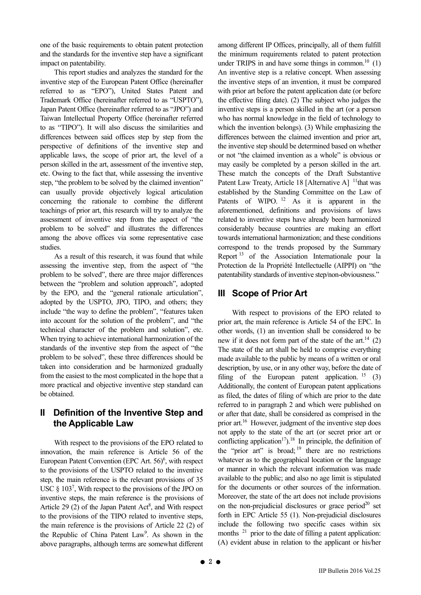one of the basic requirements to obtain patent protection and the standards for the inventive step have a significant impact on patentability.

This report studies and analyzes the standard for the inventive step of the European Patent Office (hereinafter referred to as "EPO"), United States Patent and Trademark Office (hereinafter referred to as "USPTO"), Japan Patent Office (hereinafter referred to as "JPO") and Taiwan Intellectual Property Office (hereinafter referred to as "TIPO"). It will also discuss the similarities and differences between said offices step by step from the perspective of definitions of the inventive step and applicable laws, the scope of prior art, the level of a person skilled in the art, assessment of the inventive step, etc. Owing to the fact that, while assessing the inventive step, "the problem to be solved by the claimed invention" can usually provide objectively logical articulation concerning the rationale to combine the different teachings of prior art, this research will try to analyze the assessment of inventive step from the aspect of "the problem to be solved" and illustrates the differences among the above offices via some representative case studies.

As a result of this research, it was found that while assessing the inventive step, from the aspect of "the problem to be solved", there are three major differences between the "problem and solution approach", adopted by the EPO, and the "general rationale articulation", adopted by the USPTO, JPO, TIPO, and others; they include "the way to define the problem", "features taken into account for the solution of the problem", and "the technical character of the problem and solution", etc. When trying to achieve international harmonization of the standards of the inventive step from the aspect of "the problem to be solved", these three differences should be taken into consideration and be harmonized gradually from the easiest to the most complicated in the hope that a more practical and objective inventive step standard can be obtained.

## **II Definition of the Inventive Step and the Applicable Law**

With respect to the provisions of the EPO related to innovation, the main reference is Article 56 of the European Patent Convention (EPC Art.  $56$ <sup>6</sup>, with respect to the provisions of the USPTO related to the inventive step, the main reference is the relevant provisions of 35 USC  $\S$  103<sup>7</sup>, With respect to the provisions of the JPO on inventive steps, the main reference is the provisions of Article  $29$  (2) of the Japan Patent Act<sup>8</sup>, and With respect to the provisions of the TIPO related to inventive steps, the main reference is the provisions of Article 22 (2) of the Republic of China Patent Law<sup>9</sup>. As shown in the above paragraphs, although terms are somewhat different

among different IP Offices, principally, all of them fulfill the minimum requirements related to patent protection under TRIPS in and have some things in common.<sup>10</sup>  $(1)$ An inventive step is a relative concept. When assessing the inventive steps of an invention, it must be compared with prior art before the patent application date (or before the effective filing date). (2) The subject who judges the inventive steps is a person skilled in the art (or a person who has normal knowledge in the field of technology to which the invention belongs). (3) While emphasizing the differences between the claimed invention and prior art, the inventive step should be determined based on whether or not "the claimed invention as a whole" is obvious or may easily be completed by a person skilled in the art. These match the concepts of the Draft Substantive Patent Law Treaty, Article 18 [Alternative A] <sup>11</sup>that was established by the Standing Committee on the Law of Patents of WIPO.<sup>12</sup> As it is apparent in the aforementioned, definitions and provisions of laws related to inventive steps have already been harmonized considerably because countries are making an effort towards international harmonization; and these conditions correspond to the trends proposed by the Summary Report 13 of the Association Internationale pour la Protection de la Propriété Intellectuelle (AIPPI) on "the patentability standards of inventive step/non-obviousness."

# **III Scope of Prior Art**

With respect to provisions of the EPO related to prior art, the main reference is Article 54 of the EPC. In other words, (1) an invention shall be considered to be new if it does not form part of the state of the art.<sup>14</sup> (2) The state of the art shall be held to comprise everything made available to the public by means of a written or oral description, by use, or in any other way, before the date of filing of the European patent application.  $15$  (3) Additionally, the content of European patent applications as filed, the dates of filing of which are prior to the date referred to in paragraph 2 and which were published on or after that date, shall be considered as comprised in the prior art.16 However, judgment of the inventive step does not apply to the state of the art (or secret prior art or conflicting application<sup>17</sup>).<sup>18</sup> In principle, the definition of the "prior art" is broad;  $19$  there are no restrictions whatever as to the geographical location or the language or manner in which the relevant information was made available to the public; and also no age limit is stipulated for the documents or other sources of the information. Moreover, the state of the art does not include provisions on the non-prejudicial disclosures or grace period $^{20}$  set forth in EPC Article 55 (1). Non-prejudicial disclosures include the following two specific cases within six months  $21$  prior to the date of filling a patent application: (A) evident abuse in relation to the applicant or his/her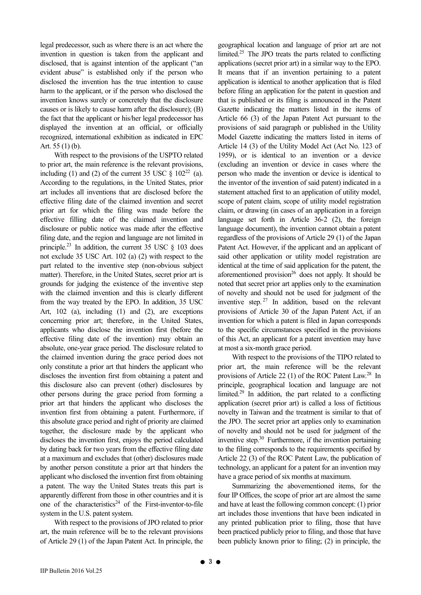legal predecessor, such as where there is an act where the invention in question is taken from the applicant and disclosed, that is against intention of the applicant ("an evident abuse" is established only if the person who disclosed the invention has the true intention to cause harm to the applicant, or if the person who disclosed the invention knows surely or concretely that the disclosure causes or is likely to cause harm after the disclosure); (B) the fact that the applicant or his/her legal predecessor has displayed the invention at an official, or officially recognized, international exhibition as indicated in EPC Art. 55 (1) (b).

With respect to the provisions of the USPTO related to prior art, the main reference is the relevant provisions, including (1) and (2) of the current 35 USC  $\S$  102<sup>22</sup> (a). According to the regulations, in the United States, prior art includes all inventions that are disclosed before the effective filing date of the claimed invention and secret prior art for which the filing was made before the effective filling date of the claimed invention and disclosure or public notice was made after the effective filing date, and the region and language are not limited in principle.<sup>23</sup> In addition, the current 35 USC  $\S$  103 does not exclude 35 USC Art. 102 (a) (2) with respect to the part related to the inventive step (non-obvious subject matter). Therefore, in the United States, secret prior art is grounds for judging the existence of the inventive step with the claimed invention and this is clearly different from the way treated by the EPO. In addition, 35 USC Art, 102 (a), including (1) and (2), are exceptions concerning prior art; therefore, in the United States, applicants who disclose the invention first (before the effective filing date of the invention) may obtain an absolute, one-year grace period. The disclosure related to the claimed invention during the grace period does not only constitute a prior art that hinders the applicant who discloses the invention first from obtaining a patent and this disclosure also can prevent (other) disclosures by other persons during the grace period from forming a prior art that hinders the applicant who discloses the invention first from obtaining a patent. Furthermore, if this absolute grace period and right of priority are claimed together, the disclosure made by the applicant who discloses the invention first, enjoys the period calculated by dating back for two years from the effective filing date at a maximum and excludes that (other) disclosures made by another person constitute a prior art that hinders the applicant who disclosed the invention first from obtaining a patent. The way the United States treats this part is apparently different from those in other countries and it is one of the characteristics<sup>24</sup> of the First-inventor-to-file system in the U.S. patent system.

With respect to the provisions of JPO related to prior art, the main reference will be to the relevant provisions of Article 29 (1) of the Japan Patent Act. In principle, the geographical location and language of prior art are not limited.25 The JPO treats the parts related to conflicting applications (secret prior art) in a similar way to the EPO. It means that if an invention pertaining to a patent application is identical to another application that is filed before filing an application for the patent in question and that is published or its filing is announced in the Patent Gazette indicating the matters listed in the items of Article 66 (3) of the Japan Patent Act pursuant to the provisions of said paragraph or published in the Utility Model Gazette indicating the matters listed in items of Article 14 (3) of the Utility Model Act (Act No. 123 of 1959), or is identical to an invention or a device (excluding an invention or device in cases where the person who made the invention or device is identical to the inventor of the invention of said patent) indicated in a statement attached first to an application of utility model, scope of patent claim, scope of utility model registration claim, or drawing (in cases of an application in a foreign language set forth in Article 36-2 (2), the foreign language document), the invention cannot obtain a patent regardless of the provisions of Article 29 (1) of the Japan Patent Act. However, if the applicant and an applicant of said other application or utility model registration are identical at the time of said application for the patent, the aforementioned provision<sup>26</sup> does not apply. It should be noted that secret prior art applies only to the examination of novelty and should not be used for judgment of the inventive step.  $27 \text{ In addition, based on the relevant}$ provisions of Article 30 of the Japan Patent Act, if an invention for which a patent is filed in Japan corresponds to the specific circumstances specified in the provisions of this Act, an applicant for a patent invention may have at most a six-month grace period.

With respect to the provisions of the TIPO related to prior art, the main reference will be the relevant provisions of Article 22 (1) of the ROC Patent Law.28 In principle, geographical location and language are not limited.29 In addition, the part related to a conflicting application (secret prior art) is called a loss of fictitious novelty in Taiwan and the treatment is similar to that of the JPO. The secret prior art applies only to examination of novelty and should not be used for judgment of the inventive step.30 Furthermore, if the invention pertaining to the filing corresponds to the requirements specified by Article 22 (3) of the ROC Patent Law, the publication of technology, an applicant for a patent for an invention may have a grace period of six months at maximum.

Summarizing the abovementioned items, for the four IP Offices, the scope of prior art are almost the same and have at least the following common concept: (1) prior art includes those inventions that have been indicated in any printed publication prior to filing, those that have been practiced publicly prior to filing, and those that have been publicly known prior to filing; (2) in principle, the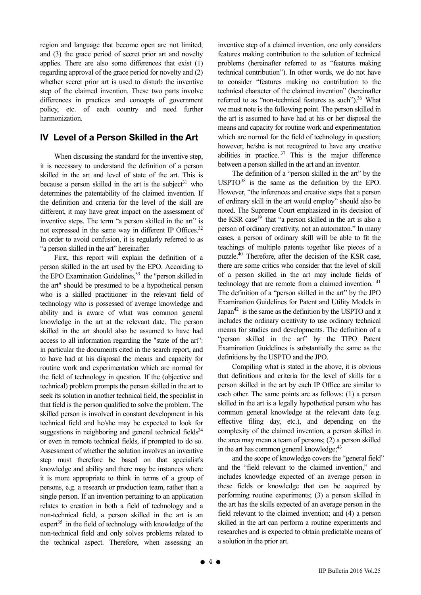region and language that become open are not limited; and (3) the grace period of secret prior art and novelty applies. There are also some differences that exist (1) regarding approval of the grace period for novelty and (2) whether secret prior art is used to disturb the inventive step of the claimed invention. These two parts involve differences in practices and concepts of government policy, etc. of each country and need further harmonization.

## **IV Level of a Person Skilled in the Art**

When discussing the standard for the inventive step, it is necessary to understand the definition of a person skilled in the art and level of state of the art. This is because a person skilled in the art is the subject<sup>31</sup> who determines the patentability of the claimed invention. If the definition and criteria for the level of the skill are different, it may have great impact on the assessment of inventive steps. The term "a person skilled in the art" is not expressed in the same way in different IP Offices.<sup>32</sup> In order to avoid confusion, it is regularly referred to as "a person skilled in the art" hereinafter.

First, this report will explain the definition of a person skilled in the art used by the EPO. According to the EPO Examination Guidelines,  $33$  the "person skilled in the art" should be presumed to be a hypothetical person who is a skilled practitioner in the relevant field of technology who is possessed of average knowledge and ability and is aware of what was common general knowledge in the art at the relevant date. The person skilled in the art should also be assumed to have had access to all information regarding the "state of the art": in particular the documents cited in the search report, and to have had at his disposal the means and capacity for routine work and experimentation which are normal for the field of technology in question. If the (objective and technical) problem prompts the person skilled in the art to seek its solution in another technical field, the specialist in that field is the person qualified to solve the problem. The skilled person is involved in constant development in his technical field and he/she may be expected to look for suggestions in neighboring and general technical fields $34$ or even in remote technical fields, if prompted to do so. Assessment of whether the solution involves an inventive step must therefore be based on that specialist's knowledge and ability and there may be instances where it is more appropriate to think in terms of a group of persons, e.g. a research or production team, rather than a single person. If an invention pertaining to an application relates to creation in both a field of technology and a non-technical field, a person skilled in the art is an expert<sup>35</sup> in the field of technology with knowledge of the non-technical field and only solves problems related to the technical aspect. Therefore, when assessing an

inventive step of a claimed invention, one only considers features making contribution to the solution of technical problems (hereinafter referred to as "features making technical contribution"). In other words, we do not have to consider "features making no contribution to the technical character of the claimed invention" (hereinafter referred to as "non-technical features as such").<sup>36</sup> What we must note is the following point. The person skilled in the art is assumed to have had at his or her disposal the means and capacity for routine work and experimentation which are normal for the field of technology in question; however, he/she is not recognized to have any creative abilities in practice.  $37$  This is the major difference between a person skilled in the art and an inventor.

The definition of a "person skilled in the art" by the  $USPTO<sup>38</sup>$  is the same as the definition by the EPO. However, "the inferences and creative steps that a person of ordinary skill in the art would employ" should also be noted. The Supreme Court emphasized in its decision of the KSR case<sup>39</sup> that "a person skilled in the art is also a person of ordinary creativity, not an automaton." In many cases, a person of ordinary skill will be able to fit the teachings of multiple patents together like pieces of a puzzle.40 Therefore, after the decision of the KSR case, there are some critics who consider that the level of skill of a person skilled in the art may include fields of technology that are remote from a claimed invention. <sup>41</sup> The definition of a "person skilled in the art" by the JPO Examination Guidelines for Patent and Utility Models in Japan<sup>42</sup> is the same as the definition by the USPTO and it includes the ordinary creativity to use ordinary technical means for studies and developments. The definition of a "person skilled in the art" by the TIPO Patent Examination Guidelines is substantially the same as the definitions by the USPTO and the JPO.

Compiling what is stated in the above, it is obvious that definitions and criteria for the level of skills for a person skilled in the art by each IP Office are similar to each other. The same points are as follows: (1) a person skilled in the art is a legally hypothetical person who has common general knowledge at the relevant date (e.g. effective filing day, etc.), and depending on the complexity of the claimed invention, a person skilled in the area may mean a team of persons; (2) a person skilled in the art has common general knowledge; $^{43}$ 

and the scope of knowledge covers the "general field" and the "field relevant to the claimed invention," and includes knowledge expected of an average person in these fields or knowledge that can be acquired by performing routine experiments; (3) a person skilled in the art has the skills expected of an average person in the field relevant to the claimed invention; and (4) a person skilled in the art can perform a routine experiments and researches and is expected to obtain predictable means of a solution in the prior art.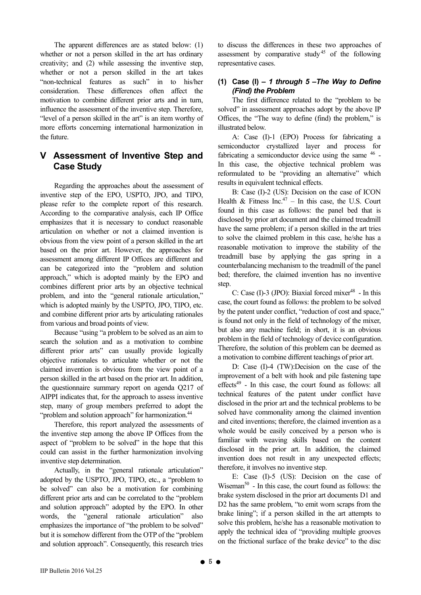The apparent differences are as stated below: (1) whether or not a person skilled in the art has ordinary creativity; and (2) while assessing the inventive step, whether or not a person skilled in the art takes "non-technical features as such" in to his/her consideration. These differences often affect the motivation to combine different prior arts and in turn, influence the assessment of the inventive step. Therefore, "level of a person skilled in the art" is an item worthy of more efforts concerning international harmonization in the future.

## **V Assessment of Inventive Step and Case Study**

Regarding the approaches about the assessment of inventive step of the EPO, USPTO, JPO, and TIPO, please refer to the complete report of this research. According to the comparative analysis, each IP Office emphasizes that it is necessary to conduct reasonable articulation on whether or not a claimed invention is obvious from the view point of a person skilled in the art based on the prior art. However, the approaches for assessment among different IP Offices are different and can be categorized into the "problem and solution approach," which is adopted mainly by the EPO and combines different prior arts by an objective technical problem, and into the "general rationale articulation," which is adopted mainly by the USPTO, JPO, TIPO, etc. and combine different prior arts by articulating rationales from various and broad points of view.

Because "using "a problem to be solved as an aim to search the solution and as a motivation to combine different prior arts" can usually provide logically objective rationales to articulate whether or not the claimed invention is obvious from the view point of a person skilled in the art based on the prior art. In addition, the questionnaire summary report on agenda Q217 of AIPPI indicates that, for the approach to assess inventive step, many of group members preferred to adopt the "problem and solution approach" for harmonization.<sup>44</sup>

Therefore, this report analyzed the assessments of the inventive step among the above IP Offices from the aspect of "problem to be solved" in the hope that this could can assist in the further harmonization involving inventive step determination.

Actually, in the "general rationale articulation" adopted by the USPTO, JPO, TIPO, etc., a "problem to be solved" can also be a motivation for combining different prior arts and can be correlated to the "problem and solution approach" adopted by the EPO. In other words, the "general rationale articulation" also emphasizes the importance of "the problem to be solved" but it is somehow different from the OTP of the "problem and solution approach". Consequently, this research tries to discuss the differences in these two approaches of assessment by comparative study<sup>45</sup> of the following representative cases.

## **(1) Case (I) –** *1 through 5 –The Way to Define (Find) the Problem*

The first difference related to the "problem to be solved" in assessment approaches adopt by the above IP Offices, the "The way to define (find) the problem," is illustrated below.

A: Case (I)-1 (EPO) Process for fabricating a semiconductor crystallized layer and process for fabricating a semiconductor device using the same  $46$  -In this case, the objective technical problem was reformulated to be "providing an alternative" which results in equivalent technical effects.

B: Case (I)-2 (US): Decision on the case of ICON Health & Fitness Inc.<sup>47</sup> – In this case, the U.S. Court found in this case as follows: the panel bed that is disclosed by prior art document and the claimed treadmill have the same problem; if a person skilled in the art tries to solve the claimed problem in this case, he/she has a reasonable motivation to improve the stability of the treadmill base by applying the gas spring in a counterbalancing mechanism to the treadmill of the panel bed; therefore, the claimed invention has no inventive step.

C: Case (I)-3 (JPO): Biaxial forced mixer $48$  - In this case, the court found as follows: the problem to be solved by the patent under conflict, "reduction of cost and space," is found not only in the field of technology of the mixer, but also any machine field; in short, it is an obvious problem in the field of technology of device configuration. Therefore, the solution of this problem can be deemed as a motivation to combine different teachings of prior art.

D: Case (I)-4 (TW):Decision on the case of the improvement of a belt with hook and pile fastening tape effects $49$  - In this case, the court found as follows: all technical features of the patent under conflict have disclosed in the prior art and the technical problems to be solved have commonality among the claimed invention and cited inventions; therefore, the claimed invention as a whole would be easily conceived by a person who is familiar with weaving skills based on the content disclosed in the prior art. In addition, the claimed invention does not result in any unexpected effects; therefore, it involves no inventive step.

E: Case (I)-5 (US): Decision on the case of Wiseman $50$  - In this case, the court found as follows: the brake system disclosed in the prior art documents D1 and D2 has the same problem, "to emit worn scraps from the brake lining"; if a person skilled in the art attempts to solve this problem, he/she has a reasonable motivation to apply the technical idea of "providing multiple grooves on the frictional surface of the brake device" to the disc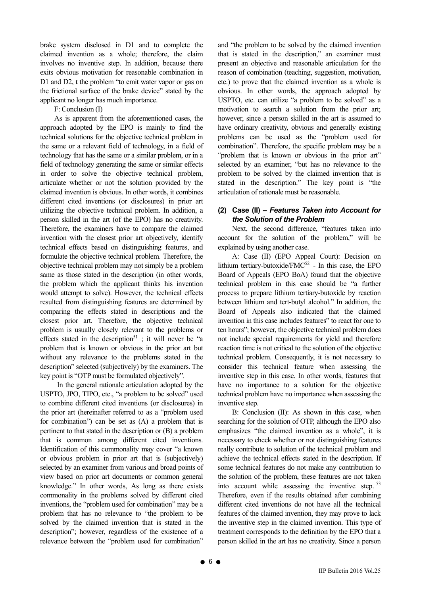brake system disclosed in D1 and to complete the claimed invention as a whole; therefore, the claim involves no inventive step. In addition, because there exits obvious motivation for reasonable combination in D1 and D2, t the problem "to emit water vapor or gas on the frictional surface of the brake device" stated by the applicant no longer has much importance.

F: Conclusion (I)

As is apparent from the aforementioned cases, the approach adopted by the EPO is mainly to find the technical solutions for the objective technical problem in the same or a relevant field of technology, in a field of technology that has the same or a similar problem, or in a field of technology generating the same or similar effects in order to solve the objective technical problem, articulate whether or not the solution provided by the claimed invention is obvious. In other words, it combines different cited inventions (or disclosures) in prior art utilizing the objective technical problem. In addition, a person skilled in the art (of the EPO) has no creativity. Therefore, the examiners have to compare the claimed invention with the closest prior art objectively, identify technical effects based on distinguishing features, and formulate the objective technical problem. Therefore, the objective technical problem may not simply be a problem same as those stated in the description (in other words, the problem which the applicant thinks his invention would attempt to solve). However, the technical effects resulted from distinguishing features are determined by comparing the effects stated in descriptions and the closest prior art. Therefore, the objective technical problem is usually closely relevant to the problems or effects stated in the description<sup>51</sup>; it will never be "a problem that is known or obvious in the prior art but without any relevance to the problems stated in the description" selected (subjectively) by the examiners. The key point is "OTP must be formulated objectively".

 In the general rationale articulation adopted by the USPTO, JPO, TIPO, etc., "a problem to be solved" used to combine different cited inventions (or disclosures) in the prior art (hereinafter referred to as a "problem used for combination") can be set as (A) a problem that is pertinent to that stated in the description or (B) a problem that is common among different cited inventions. Identification of this commonality may cover "a known or obvious problem in prior art that is (subjectively) selected by an examiner from various and broad points of view based on prior art documents or common general knowledge." In other words, As long as there exists commonality in the problems solved by different cited inventions, the "problem used for combination" may be a problem that has no relevance to "the problem to be solved by the claimed invention that is stated in the description"; however, regardless of the existence of a relevance between the "problem used for combination"

and "the problem to be solved by the claimed invention that is stated in the description," an examiner must present an objective and reasonable articulation for the reason of combination (teaching, suggestion, motivation, etc.) to prove that the claimed invention as a whole is obvious. In other words, the approach adopted by USPTO, etc. can utilize "a problem to be solved" as a motivation to search a solution from the prior art; however, since a person skilled in the art is assumed to have ordinary creativity, obvious and generally existing problems can be used as the "problem used for combination". Therefore, the specific problem may be a "problem that is known or obvious in the prior art" selected by an examiner, "but has no relevance to the problem to be solved by the claimed invention that is stated in the description." The key point is "the articulation of rationale must be reasonable.

### **(2) Case (II) –** *Features Taken into Account for the Solution of the Problem*

Next, the second difference, "features taken into account for the solution of the problem," will be explained by using another case.

A: Case (II) (EPO Appeal Court): Decision on lithium tertiary-butoxide/ $FMC^{52}$  - In this case, the EPO Board of Appeals (EPO BoA) found that the objective technical problem in this case should be "a further process to prepare lithium tertiary-butoxide by reaction between lithium and tert-butyl alcohol." In addition, the Board of Appeals also indicated that the claimed invention in this case includes features" to react for one to ten hours"; however, the objective technical problem does not include special requirements for yield and therefore reaction time is not critical to the solution of the objective technical problem. Consequently, it is not necessary to consider this technical feature when assessing the inventive step in this case. In other words, features that have no importance to a solution for the objective technical problem have no importance when assessing the inventive step.

B: Conclusion (II): As shown in this case, when searching for the solution of OTP, although the EPO also emphasizes "the claimed invention as a whole", it is necessary to check whether or not distinguishing features really contribute to solution of the technical problem and achieve the technical effects stated in the description. If some technical features do not make any contribution to the solution of the problem, these features are not taken into account while assessing the inventive step. <sup>53</sup> Therefore, even if the results obtained after combining different cited inventions do not have all the technical features of the claimed invention, they may prove to lack the inventive step in the claimed invention. This type of treatment corresponds to the definition by the EPO that a person skilled in the art has no creativity. Since a person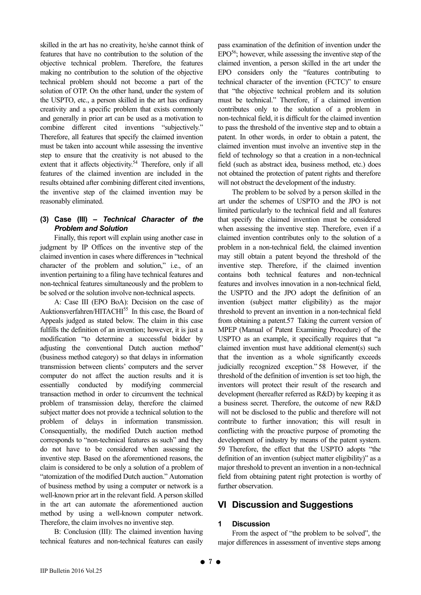skilled in the art has no creativity, he/she cannot think of features that have no contribution to the solution of the objective technical problem. Therefore, the features making no contribution to the solution of the objective technical problem should not become a part of the solution of OTP. On the other hand, under the system of the USPTO, etc., a person skilled in the art has ordinary creativity and a specific problem that exists commonly and generally in prior art can be used as a motivation to combine different cited inventions "subjectively." Therefore, all features that specify the claimed invention must be taken into account while assessing the inventive step to ensure that the creativity is not abused to the extent that it affects objectivity.<sup>54</sup> Therefore, only if all features of the claimed invention are included in the results obtained after combining different cited inventions, the inventive step of the claimed invention may be reasonably eliminated.

#### **(3) Case (III) –** *Technical Character of the Problem and Solution*

Finally, this report will explain using another case in judgment by IP Offices on the inventive step of the claimed invention in cases where differences in "technical character of the problem and solution," i.e., of an invention pertaining to a filing have technical features and non-technical features simultaneously and the problem to be solved or the solution involve non-technical aspects.

A: Case III (EPO BoA): Decision on the case of Auktionsverfahren/HITACHI<sup>55</sup> In this case, the Board of Appeals judged as stated below. The claim in this case fulfills the definition of an invention; however, it is just a modification "to determine a successful bidder by adjusting the conventional Dutch auction method" (business method category) so that delays in information transmission between clients' computers and the server computer do not affect the auction results and it is essentially conducted by modifying commercial transaction method in order to circumvent the technical problem of transmission delay, therefore the claimed subject matter does not provide a technical solution to the problem of delays in information transmission. Consequentially, the modified Dutch auction method corresponds to "non-technical features as such" and they do not have to be considered when assessing the inventive step. Based on the aforementioned reasons, the claim is considered to be only a solution of a problem of "atomization of the modified Dutch auction." Automation of business method by using a computer or network is a well-known prior art in the relevant field. A person skilled in the art can automate the aforementioned auction method by using a well-known computer network. Therefore, the claim involves no inventive step.

B: Conclusion (III): The claimed invention having technical features and non-technical features can easily pass examination of the definition of invention under the  $EPO<sup>56</sup>$ ; however, while assessing the inventive step of the claimed invention, a person skilled in the art under the EPO considers only the "features contributing to technical character of the invention (FCTC)" to ensure that "the objective technical problem and its solution must be technical." Therefore, if a claimed invention contributes only to the solution of a problem in non-technical field, it is difficult for the claimed invention to pass the threshold of the inventive step and to obtain a patent. In other words, in order to obtain a patent, the claimed invention must involve an inventive step in the field of technology so that a creation in a non-technical field (such as abstract idea, business method, etc.) does not obtained the protection of patent rights and therefore will not obstruct the development of the industry.

The problem to be solved by a person skilled in the art under the schemes of USPTO and the JPO is not limited particularly to the technical field and all features that specify the claimed invention must be considered when assessing the inventive step. Therefore, even if a claimed invention contributes only to the solution of a problem in a non-technical field, the claimed invention may still obtain a patent beyond the threshold of the inventive step. Therefore, if the claimed invention contains both technical features and non-technical features and involves innovation in a non-technical field, the USPTO and the JPO adopt the definition of an invention (subject matter eligibility) as the major threshold to prevent an invention in a non-technical field from obtaining a patent.57 Taking the current version of MPEP (Manual of Patent Examining Procedure) of the USPTO as an example, it specifically requires that "a claimed invention must have additional element(s) such that the invention as a whole significantly exceeds judicially recognized exception." 58 However, if the threshold of the definition of invention is set too high, the inventors will protect their result of the research and development (hereafter referred as R&D) by keeping it as a business secret. Therefore, the outcome of new R&D will not be disclosed to the public and therefore will not contribute to further innovation; this will result in conflicting with the proactive purpose of promoting the development of industry by means of the patent system. 59 Therefore, the effect that the USPTO adopts "the definition of an invention (subject matter eligibility)" as a major threshold to prevent an invention in a non-technical field from obtaining patent right protection is worthy of further observation.

## **VI Discussion and Suggestions**

#### **1 Discussion**

From the aspect of "the problem to be solved", the major differences in assessment of inventive steps among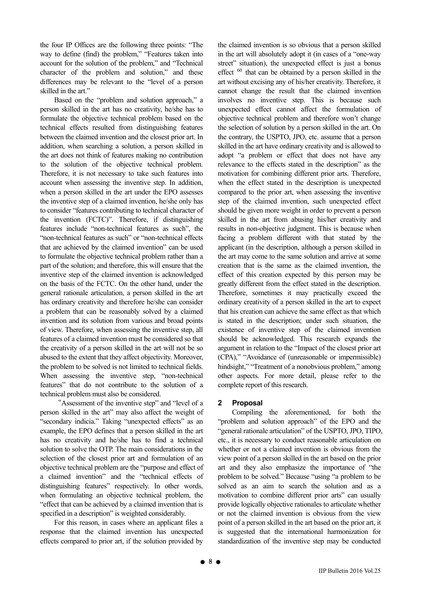the four IP Offices are the following three points: "The way to define (find) the problem," "Features taken into account for the solution of the problem," and "Technical character of the problem and solution," and these differences may be relevant to the "level of a person skilled in the art."

Based on the "problem and solution approach," a person skilled in the art has no creativity, he/she has to formulate the objective technical problem based on the technical effects resulted from distinguishing features between the claimed invention and the closest prior art. In addition, when searching a solution, a person skilled in the art does not think of features making no contribution to the solution of the objective technical problem. Therefore, it is not necessary to take such features into account when assessing the inventive step. In addition, when a person skilled in the art under the EPO assesses the inventive step of a claimed invention, he/she only has to consider "features contributing to technical character of the invention (FCTC)". Therefore, if distinguishing features include "non-technical features as such", the "non-technical features as such" or "non-technical effects that are achieved by the claimed invention" can be used to formulate the objective technical problem rather than a part of the solution; and therefore, this will ensure that the inventive step of the claimed invention is acknowledged on the basis of the FCTC. On the other hand, under the general rationale articulation, a person skilled in the art has ordinary creativity and therefore he/she can consider a problem that can be reasonably solved by a claimed invention and its solution from various and broad points of view. Therefore, when assessing the inventive step, all features of a claimed invention must be considered so that the creativity of a person skilled in the art will not be so abused to the extent that they affect objectivity. Moreover, the problem to be solved is not limited to technical fields. When assessing the inventive step, "non-technical features" that do not contribute to the solution of a technical problem must also be considered.

"Assessment of the inventive step" and "level of a person skilled in the art" may also affect the weight of "secondary indicia." Taking "unexpected effects" as an example, the EPO defines that a person skilled in the art has no creativity and he/she has to find a technical solution to solve the OTP. The main considerations in the selection of the closest prior art and formulation of an objective technical problem are the "purpose and effect of a claimed invention" and the "technical effects of distinguishing features" respectively. In other words, when formulating an objective technical problem, the "effect that can be achieved by a claimed invention that is specified in a description" is weighted considerably.

For this reason, in cases where an applicant files a response that the claimed invention has unexpected effects compared to prior art, if the solution provided by the claimed invention is so obvious that a person skilled in the art will absolutely adopt it (in cases of a "one-way street" situation), the unexpected effect is just a bonus effect <sup>60</sup> that can be obtained by a person skilled in the art without excising any of his/her creativity. Therefore, it cannot change the result that the claimed invention involves no inventive step. This is because such unexpected effect cannot affect the formulation of objective technical problem and therefore won't change the selection of solution by a person skilled in the art. On the contrary, the USPTO, JPO, etc. assume that a person skilled in the art have ordinary creativity and is allowed to adopt "a problem or effect that does not have any relevance to the effects stated in the description" as the motivation for combining different prior arts. Therefore, when the effect stated in the description is unexpected compared to the prior art, when assessing the inventive step of the claimed invention, such unexpected effect should be given more weight in order to prevent a person skilled in the art from abusing his/her creativity and results in non-objective judgment. This is because when facing a problem different with that stated by the applicant (in the description, although a person skilled in the art may come to the same solution and arrive at some creation that is the same as the claimed invention, the effect of this creation expected by this person may be greatly different from the effect stated in the description. Therefore, sometimes it may practically exceed the ordinary creativity of a person skilled in the art to expect that his creation can achieve the same effect as that which is stated in the description; under such situation, the existence of inventive step of the claimed invention should be acknowledged. This research expands the argument in relation to the "Impact of the closest prior art (CPA)," "Avoidance of (unreasonable or impermissible) hindsight," "Treatment of a nonobvious problem," among other aspects. For more detail, please refer to the complete report of this research.

## **2 Proposal**

Compiling the aforementioned, for both the "problem and solution approach" of the EPO and the "general rationale articulation" of the USPTO, JPO, TIPO, etc., it is necessary to conduct reasonable articulation on whether or not a claimed invention is obvious from the view point of a person skilled in the art based on the prior art and they also emphasize the importance of "the problem to be solved." Because "using "a problem to be solved as an aim to search the solution and as a motivation to combine different prior arts" can usually provide logically objective rationales to articulate whether or not the claimed invention is obvious from the view point of a person skilled in the art based on the prior art, it is suggested that the international harmonization for standardization of the inventive step may be conducted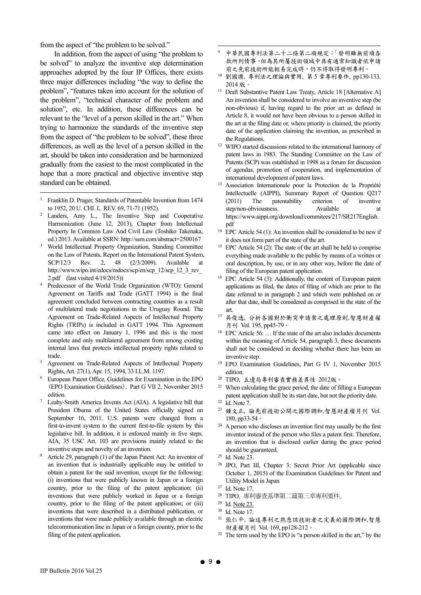from the aspect of "the problem to be solved."

In addition, from the aspect of using "the problem to be solved" to analyze the inventive step determination approaches adopted by the four IP Offices, there exists three major differences including "the way to define the problem", "features taken into account for the solution of the problem", "technical character of the problem and solution", etc. In addition, these differences can be relevant to the "level of a person skilled in the art." When trying to harmonize the standards of the inventive step from the aspect of "the problem to be solved", these three differences, as well as the level of a person skilled in the art, should be taken into consideration and be harmonized gradually from the easiest to the most complicated in the hope that a more practical and objective inventive step standard can be obtained.

 $\overline{a}$ 

- Landers, Amy L., The Inventive Step and Cooperative Harmonization (June 12, 2013), Chapter from Intellectual Property In Common Law And Civil Law (Toshiko Takenaka, ed.) 2013. Available at SSRN: http://ssrn.com/abstract=2500167
- World Intellectual Property Organization, Standing Committee on the Law of Patents, Report on the International Patent System, SCP/12/3 Rev. 2, 48 (2/3/2009). Available at http://www.wipo.int/edocs/mdocs/scp/en/scp\_12/scp\_12\_3\_rev 2.pdf  $(last visited 4/19/2015)$
- Predecessor of the World Trade Organization (WTO): General Agreement on Tariffs and Trade (GATT 1994) is the final agreement concluded between contracting countries as a result of multilateral trade negotiations in the Uruguay Round. The Agreement on Trade-Related Aspects of Intellectual Property Rights (TRIPs) is included in GATT 1994. This Agreement came into effect on January 1, 1996 and this is the most complete and only multilateral agreement from among existing internal laws that protects intellectual property rights related to trade.
- Agreement on Trade-Related Aspects of Intellectual Property Rights, Art. 27(1), Apr. 15, 1994, 33 I.L.M. 1197. 6
- European Patent Office, Guidelines for Examination in the EPO (EPO Examination Guidelines), Part G VII 2, November 2015
- edition.<br>7 Leahy-Smith America Invents Act (AIA). A legislative bill that President Obama of the United States officially signed on September 16, 2011. U.S. patents were changed from a first-to-invent system to the current first-to-file system by this legislative bill. In addition, it is enforced mainly in five steps. AIA, 35 USC Art. 103 are provisions mainly related to the inventive steps and novelty of an invention.
- Article 29, paragraph (1) of the Japan Patent Act: An inventor of an invention that is industrially applicable may be entitled to obtain a patent for the said invention, except for the following: (i) inventions that were publicly known in Japan or a foreign country, prior to the filing of the patent application; (ii) inventions that were publicly worked in Japan or a foreign country, prior to the filing of the patent application; or (iii) inventions that were described in a distributed publication, or inventions that were made publicly available through an electric telecommunication line in Japan or a foreign country, prior to the filing of the patent application.

9 中華民國專利法第二十二條第二項規定:「發明雖無前項各 款所列情事,但為其所屬技術領域中具有通常知識者依申請 前之先前技術所能輕易完成時,仍不得取得發明專利。

-

- 10 劉國讚, 專利法之理論與實用, 第 5 章專利要件, pp130-133, 2014 版。
- <sup>11</sup> Draft Substantive Patent Law Treaty, Article 18 [Alternative A] An invention shall be considered to involve an inventive step (be non-obvious) if, having regard to the prior art as defined in Article 8, it would not have been obvious to a person skilled in the art at the filing date or, where priority is claimed, the priority date of the application claiming the invention, as prescribed in
- the Regulations.<br><sup>12</sup> WIPO started discussions related to the international harmony of patent laws in 1983. The Standing Committee on the Law of Patents (SCP) was established in 1998 as a forum for discussion of agendas, promotion of cooperation, and implementation of
- international development of patent laws. 13 Association Internationale pour la Protection de la Propriété Intellectuelle (AIPPI), Summary Report of Question Q217 (2011) The patentability criterion of inventive step/non-obviousness. Available at https://www.aippi.org/download/commitees/217/SR217English. pdf  $14$  EPC Article 54 (1): An invention shall be considered to be new if
- it does not form part of the state of the art.<br><sup>15</sup> EPC Article 54 (2): The state of the art shall be held to comprise
- everything made available to the public by means of a written or oral description, by use, or in any other way, before the date of
- filing of the European patent application. 16 EPC Article 54 (3): Additionally, the content of European patent applications as filed, the dates of filing of which are prior to the date referred to in paragraph 2 and which were published on or after that date, shall be considered as comprised in the state of the
- art.<br><sup>17</sup> 吳俊逸, 分析各國對於衝突申請案之處理原則,智慧財產權 月刊 Vol. 195, pp45-79。
- 18 EPC Article 56: … If the state of the art also includes documents within the meaning of Article 54, paragraph 3, these documents shall not be considered in deciding whether there has been an
- inventive step. 19 EPO Examination Guidelines, Part G IV 1, November 2015
- edition.<br><sup>20</sup> TIPO, 五邊局專利審查實務差異性 2012版。
- <sup>21</sup> When calculating the grace period, the date of filling a European patent application shall be its start date, but not the priority date. 22 Id. Note 7.
- 
- 23 鍾文正, 論先前技術公開之國際調和,智慧財產權月刊 Vol. 180, pp33-54。
- $24$  A person who discloses an invention first may usually be the first inventor instead of the person who files a patent first. Therefore, an invention that is disclosed earlier during the grace period should be guaranteed.<br><sup>25</sup> Id. Note 23.
- 
- 26 JPO, Part III, Chapter 3: Secret Prior Art (applicable since October 1, 2015) of the Examination Guidelines for Patent and Utility Model in Japan 27 Id. Note 17.
- 
- 28 TIPO, 專利審查基準第二篇第三章專利要件。

- 30 Id. Note 17.
- 31 張仁平, 論述專利之熟悉該技術者之定義的國際調和,智慧 財產權月刊 Vol. 169, pp128-212。
- <sup>32</sup> The term used by the EPO is "a person skilled in the art," by the

<sup>1</sup> Franklin D. Prager, Standards of Patentable Invention from 1474 to 1952, 20 U. CHI. L. REV. 69, 71-71 (1952).

<sup>29</sup> Id. Note 23.